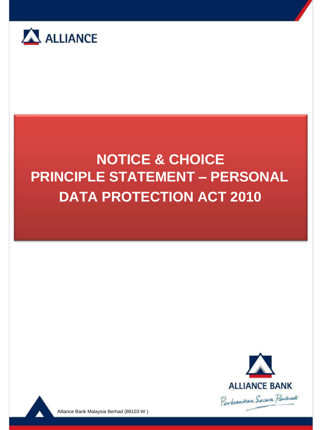





Alliance Bank Malaysia Berhad (88103-W )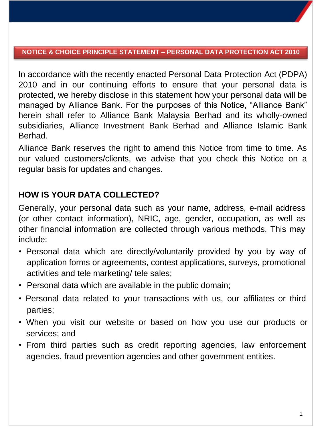In accordance with the recently enacted Personal Data Protection Act (PDPA) 2010 and in our continuing efforts to ensure that your personal data is protected, we hereby disclose in this statement how your personal data will be managed by Alliance Bank. For the purposes of this Notice, "Alliance Bank" herein shall refer to Alliance Bank Malaysia Berhad and its wholly-owned subsidiaries, Alliance Investment Bank Berhad and Alliance Islamic Bank Berhad.

Alliance Bank reserves the right to amend this Notice from time to time. As our valued customers/clients, we advise that you check this Notice on a regular basis for updates and changes.

# **HOW IS YOUR DATA COLLECTED?**

Generally, your personal data such as your name, address, e-mail address (or other contact information), NRIC, age, gender, occupation, as well as other financial information are collected through various methods. This may include:

- Personal data which are directly/voluntarily provided by you by way of application forms or agreements, contest applications, surveys, promotional activities and tele marketing/ tele sales;
- Personal data which are available in the public domain;
- Personal data related to your transactions with us, our affiliates or third parties;
- When you visit our website or based on how you use our products or services; and
- From third parties such as credit reporting agencies, law enforcement agencies, fraud prevention agencies and other government entities.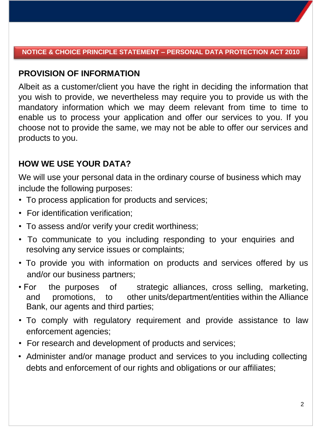## **PROVISION OF INFORMATION**

Albeit as a customer/client you have the right in deciding the information that you wish to provide, we nevertheless may require you to provide us with the mandatory information which we may deem relevant from time to time to enable us to process your application and offer our services to you. If you choose not to provide the same, we may not be able to offer our services and products to you.

## **HOW WE USE YOUR DATA?**

We will use your personal data in the ordinary course of business which may include the following purposes:

- To process application for products and services;
- For identification verification;
- To assess and/or verify your credit worthiness;
- To communicate to you including responding to your enquiries and resolving any service issues or complaints;
- To provide you with information on products and services offered by us and/or our business partners;
- For the purposes of strategic alliances, cross selling, marketing, and promotions, to other units/department/entities within the Alliance Bank, our agents and third parties;
- To comply with regulatory requirement and provide assistance to law enforcement agencies;
- For research and development of products and services;
- Administer and/or manage product and services to you including collecting debts and enforcement of our rights and obligations or our affiliates;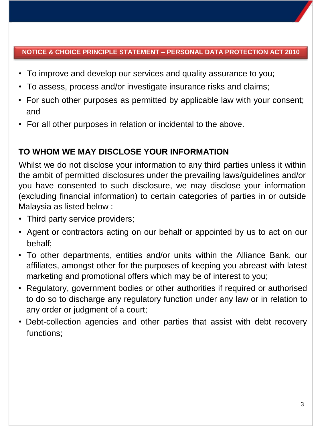- To improve and develop our services and quality assurance to you;
- To assess, process and/or investigate insurance risks and claims;
- For such other purposes as permitted by applicable law with your consent; and
- For all other purposes in relation or incidental to the above.

# **TO WHOM WE MAY DISCLOSE YOUR INFORMATION**

Whilst we do not disclose your information to any third parties unless it within the ambit of permitted disclosures under the prevailing laws/guidelines and/or you have consented to such disclosure, we may disclose your information (excluding financial information) to certain categories of parties in or outside Malaysia as listed below :

- Third party service providers;
- Agent or contractors acting on our behalf or appointed by us to act on our behalf;
- To other departments, entities and/or units within the Alliance Bank, our affiliates, amongst other for the purposes of keeping you abreast with latest marketing and promotional offers which may be of interest to you;
- Regulatory, government bodies or other authorities if required or authorised to do so to discharge any regulatory function under any law or in relation to any order or judgment of a court;
- Debt-collection agencies and other parties that assist with debt recovery functions;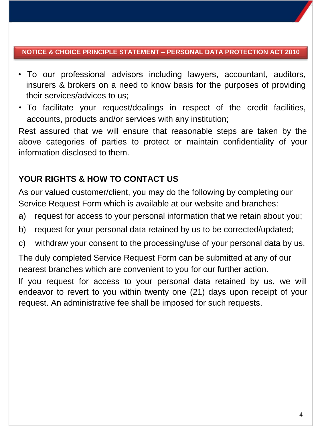- To our professional advisors including lawyers, accountant, auditors, insurers & brokers on a need to know basis for the purposes of providing their services/advices to us;
- To facilitate your request/dealings in respect of the credit facilities, accounts, products and/or services with any institution;

Rest assured that we will ensure that reasonable steps are taken by the above categories of parties to protect or maintain confidentiality of your information disclosed to them.

# **YOUR RIGHTS & HOW TO CONTACT US**

As our valued customer/client, you may do the following by completing our Service Request Form which is available at our website and branches:

- a) request for access to your personal information that we retain about you;
- b) request for your personal data retained by us to be corrected/updated;
- c) withdraw your consent to the processing/use of your personal data by us.

The duly completed Service Request Form can be submitted at any of our nearest branches which are convenient to you for our further action.

If you request for access to your personal data retained by us, we will endeavor to revert to you within twenty one (21) days upon receipt of your request. An administrative fee shall be imposed for such requests.